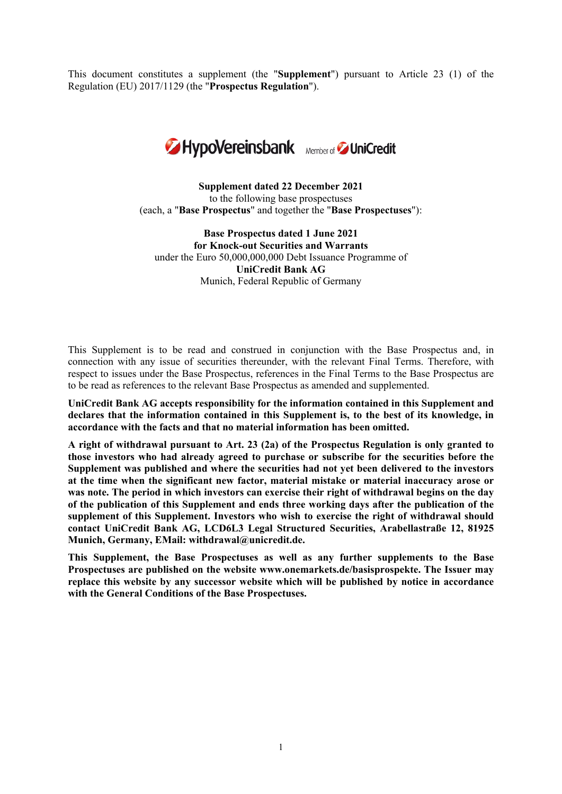This document constitutes a supplement (the "**Supplement**") pursuant to Article 23 (1) of the Regulation (EU) 2017/1129 (the "**Prospectus Regulation**").



**Supplement dated 22 December 2021** to the following base prospectuses (each, a "**Base Prospectus**" and together the "**Base Prospectuses**"):

**Base Prospectus dated 1 June 2021 for Knock-out Securities and Warrants** under the Euro 50,000,000,000 Debt Issuance Programme of **UniCredit Bank AG** Munich, Federal Republic of Germany

This Supplement is to be read and construed in conjunction with the Base Prospectus and, in connection with any issue of securities thereunder, with the relevant Final Terms. Therefore, with respect to issues under the Base Prospectus, references in the Final Terms to the Base Prospectus are to be read as references to the relevant Base Prospectus as amended and supplemented.

**UniCredit Bank AG accepts responsibility for the information contained in this Supplement and declares that the information contained in this Supplement is, to the best of its knowledge, in accordance with the facts and that no material information has been omitted.**

**A right of withdrawal pursuant to Art. 23 (2a) of the Prospectus Regulation is only granted to those investors who had already agreed to purchase or subscribe for the securities before the Supplement was published and where the securities had not yet been delivered to the investors at the time when the significant new factor, material mistake or material inaccuracy arose or was note. The period in which investors can exercise their right of withdrawal begins on the day of the publication of this Supplement and ends three working days after the publication of the supplement of this Supplement. Investors who wish to exercise the right of withdrawal should contact UniCredit Bank AG, LCD6L3 Legal Structured Securities, Arabellastraße 12, 81925 Munich, Germany, EMail: [withdrawal@unicredit.de.](mailto:withdrawal@unicredit.de)**

**This Supplement, the Base Prospectuses as well as any further supplements to the Base Prospectuses are published on the website www.onemarkets.de/basisprospekte. The Issuer may replace this website by any successor website which will be published by notice in accordance with the General Conditions of the Base Prospectuses.**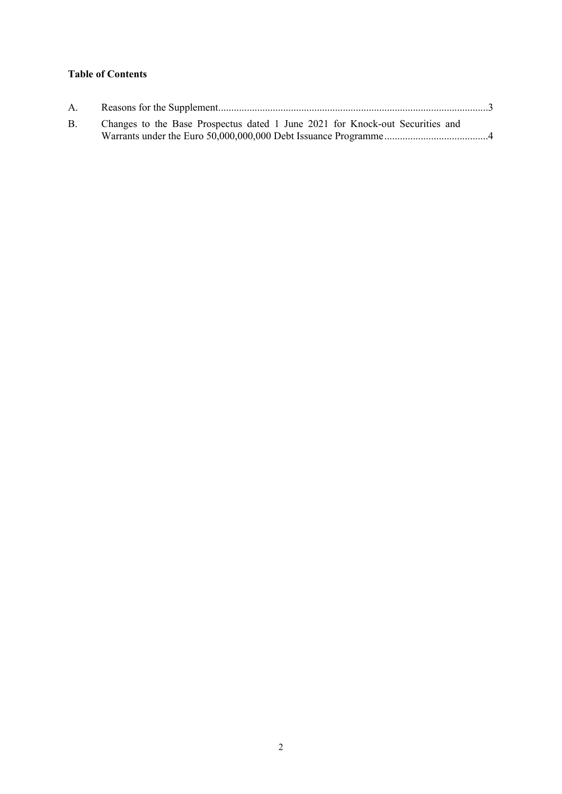# **Table of Contents**

| A.        |                                                                               |  |
|-----------|-------------------------------------------------------------------------------|--|
| <b>B.</b> | Changes to the Base Prospectus dated 1 June 2021 for Knock-out Securities and |  |
|           |                                                                               |  |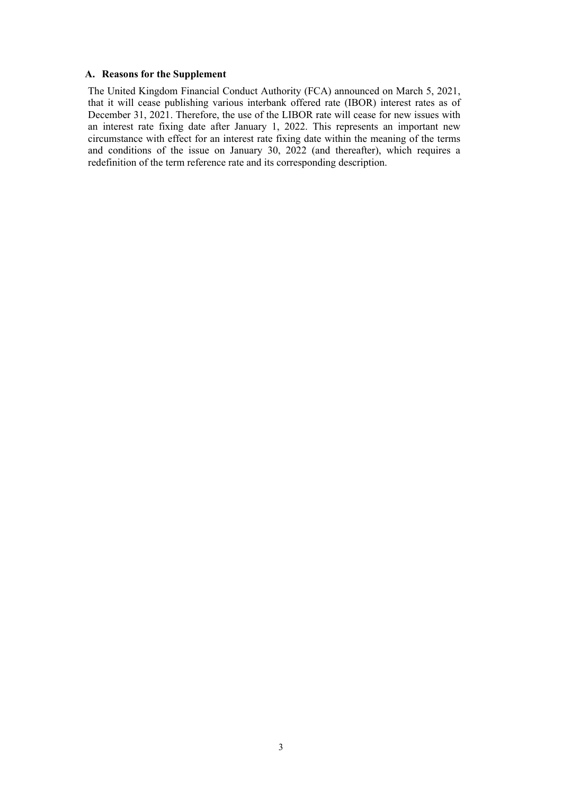#### <span id="page-2-0"></span>**A. Reasons for the Supplement**

The United Kingdom Financial Conduct Authority (FCA) announced on March 5, 2021, that it will cease publishing various interbank offered rate (IBOR) interest rates as of December 31, 2021. Therefore, the use of the LIBOR rate will cease for new issues with an interest rate fixing date after January 1, 2022. This represents an important new circumstance with effect for an interest rate fixing date within the meaning of the terms and conditions of the issue on January 30, 2022 (and thereafter), which requires a redefinition of the term reference rate and its corresponding description.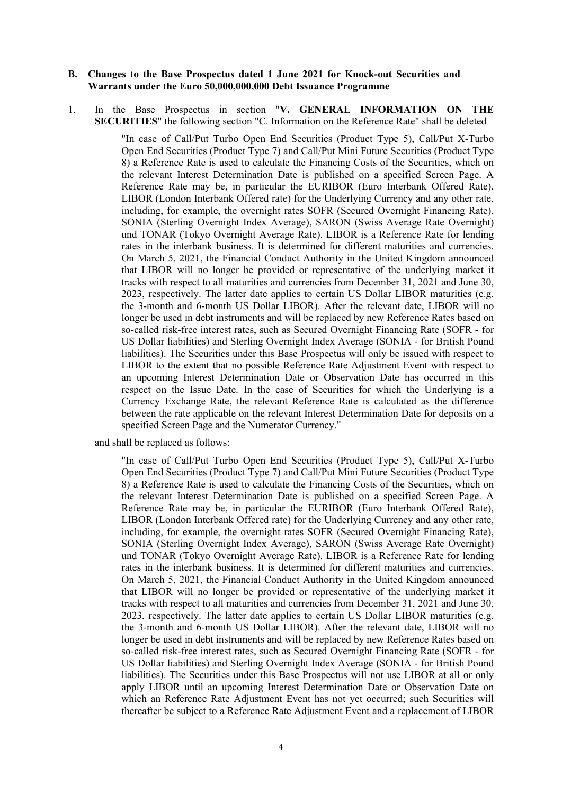#### <span id="page-3-0"></span>**B. Changes to the Base Prospectus dated 1 June 2021 for Knock-out Securities and Warrants under the Euro 50,000,000,000 Debt Issuance Programme**

1. In the Base Prospectus in section "**V. GENERAL INFORMATION ON THE SECURITIES**" the following section "C. Information on the Reference Rate" shall be deleted

> "In case of Call/Put Turbo Open End Securities (Product Type 5), Call/Put X-Turbo Open End Securities (Product Type 7) and Call/Put Mini Future Securities (Product Type 8) a Reference Rate is used to calculate the Financing Costs of the Securities, which on the relevant Interest Determination Date is published on a specified Screen Page. A Reference Rate may be, in particular the EURIBOR (Euro Interbank Offered Rate), LIBOR (London Interbank Offered rate) for the Underlying Currency and any other rate, including, for example, the overnight rates SOFR (Secured Overnight Financing Rate), SONIA (Sterling Overnight Index Average), SARON (Swiss Average Rate Overnight) und TONAR (Tokyo Overnight Average Rate). LIBOR is a Reference Rate for lending rates in the interbank business. It is determined for different maturities and currencies. On March 5, 2021, the Financial Conduct Authority in the United Kingdom announced that LIBOR will no longer be provided or representative of the underlying market it tracks with respect to all maturities and currencies from December 31, 2021 and June 30, 2023, respectively. The latter date applies to certain US Dollar LIBOR maturities (e.g. the 3-month and 6-month US Dollar LIBOR). After the relevant date, LIBOR will no longer be used in debt instruments and will be replaced by new Reference Rates based on so-called risk-free interest rates, such as Secured Overnight Financing Rate (SOFR - for US Dollar liabilities) and Sterling Overnight Index Average (SONIA - for British Pound liabilities). The Securities under this Base Prospectus will only be issued with respect to LIBOR to the extent that no possible Reference Rate Adjustment Event with respect to an upcoming Interest Determination Date or Observation Date has occurred in this respect on the Issue Date. In the case of Securities for which the Underlying is a Currency Exchange Rate, the relevant Reference Rate is calculated as the difference between the rate applicable on the relevant Interest Determination Date for deposits on a specified Screen Page and the Numerator Currency."

and shall be replaced as follows:

"In case of Call/Put Turbo Open End Securities (Product Type 5), Call/Put X-Turbo Open End Securities (Product Type 7) and Call/Put Mini Future Securities (Product Type 8) a Reference Rate is used to calculate the Financing Costs of the Securities, which on the relevant Interest Determination Date is published on a specified Screen Page. A Reference Rate may be, in particular the EURIBOR (Euro Interbank Offered Rate), LIBOR (London Interbank Offered rate) for the Underlying Currency and any other rate, including, for example, the overnight rates SOFR (Secured Overnight Financing Rate), SONIA (Sterling Overnight Index Average), SARON (Swiss Average Rate Overnight) und TONAR (Tokyo Overnight Average Rate). LIBOR is a Reference Rate for lending rates in the interbank business. It is determined for different maturities and currencies. On March 5, 2021, the Financial Conduct Authority in the United Kingdom announced that LIBOR will no longer be provided or representative of the underlying market it tracks with respect to all maturities and currencies from December 31, 2021 and June 30, 2023, respectively. The latter date applies to certain US Dollar LIBOR maturities (e.g. the 3-month and 6-month US Dollar LIBOR). After the relevant date, LIBOR will no longer be used in debt instruments and will be replaced by new Reference Rates based on so-called risk-free interest rates, such as Secured Overnight Financing Rate (SOFR - for US Dollar liabilities) and Sterling Overnight Index Average (SONIA - for British Pound liabilities). The Securities under this Base Prospectus will not use LIBOR at all or only apply LIBOR until an upcoming Interest Determination Date or Observation Date on which an Reference Rate Adjustment Event has not yet occurred; such Securities will thereafter be subject to a Reference Rate Adjustment Event and a replacement of LIBOR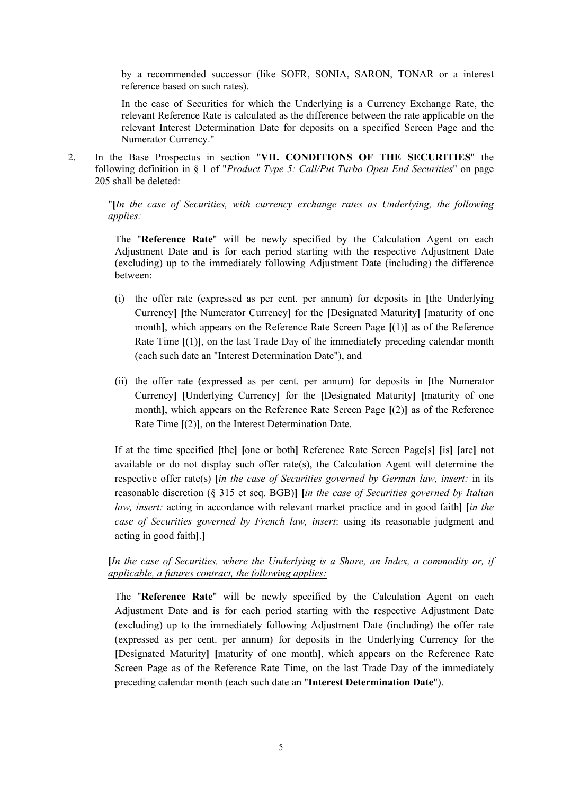by a recommended successor (like SOFR, SONIA, SARON, TONAR or a interest reference based on such rates).

In the case of Securities for which the Underlying is a Currency Exchange Rate, the relevant Reference Rate is calculated as the difference between the rate applicable on the relevant Interest Determination Date for deposits on a specified Screen Page and the Numerator Currency."

2. In the Base Prospectus in section "**VII. CONDITIONS OF THE SECURITIES**" the following definition in § 1 of "*Product Type 5: Call/Put Turbo Open End Securities*" on page 205 shall be deleted:

#### "**[***In the case of Securities, with currency exchange rates as Underlying, the following applies:*

The "**Reference Rate**" will be newly specified by the Calculation Agent on each Adjustment Date and is for each period starting with the respective Adjustment Date (excluding) up to the immediately following Adjustment Date (including) the difference between:

- (i) the offer rate (expressed as per cent. per annum) for deposits in **[**the Underlying Currency**] [**the Numerator Currency**]** for the **[**Designated Maturity**] [**maturity of one month**]**, which appears on the Reference Rate Screen Page **[**(1)**]** as of the Reference Rate Time **[**(1)**]**, on the last Trade Day of the immediately preceding calendar month (each such date an "Interest Determination Date"), and
- (ii) the offer rate (expressed as per cent. per annum) for deposits in **[**the Numerator Currency**] [**Underlying Currency**]** for the **[**Designated Maturity**] [**maturity of one month**]**, which appears on the Reference Rate Screen Page **[**(2)**]** as of the Reference Rate Time **[**(2)**]**, on the Interest Determination Date.

If at the time specified **[**the**] [**one or both**]** Reference Rate Screen Page**[**s**] [**is**] [**are**]** not available or do not display such offer rate(s), the Calculation Agent will determine the respective offer rate(s) **[***in the case of Securities governed by German law, insert:* in its reasonable discretion (§ 315 et seq. BGB)**] [***in the case of Securities governed by Italian law, insert:* acting in accordance with relevant market practice and in good faith**] [***in the case of Securities governed by French law, insert*: using its reasonable judgment and acting in good faith**]**.**]**

### **[***In the case of Securities, where the Underlying is a Share, an Index, a commodity or, if applicable, a futures contract, the following applies:*

The "**Reference Rate**" will be newly specified by the Calculation Agent on each Adjustment Date and is for each period starting with the respective Adjustment Date (excluding) up to the immediately following Adjustment Date (including) the offer rate (expressed as per cent. per annum) for deposits in the Underlying Currency for the **[**Designated Maturity**] [**maturity of one month**]**, which appears on the Reference Rate Screen Page as of the Reference Rate Time, on the last Trade Day of the immediately preceding calendar month (each such date an "**Interest Determination Date**").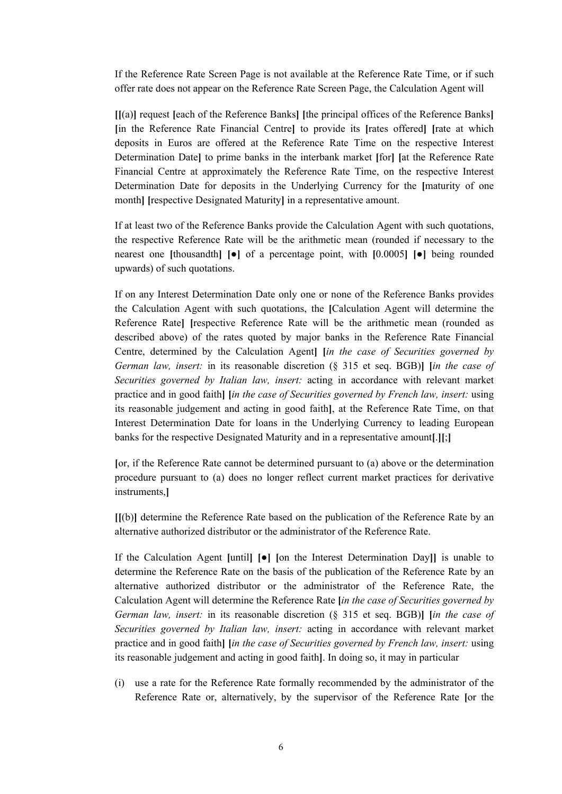If the Reference Rate Screen Page is not available at the Reference Rate Time, or if such offer rate does not appear on the Reference Rate Screen Page, the Calculation Agent will

**[[**(a)**]** request **[**each of the Reference Banks**] [**the principal offices of the Reference Banks**] [**in the Reference Rate Financial Centre**]** to provide its **[**rates offered**] [**rate at which deposits in Euros are offered at the Reference Rate Time on the respective Interest Determination Date**]** to prime banks in the interbank market **[**for**] [**at the Reference Rate Financial Centre at approximately the Reference Rate Time, on the respective Interest Determination Date for deposits in the Underlying Currency for the **[**maturity of one month**] [**respective Designated Maturity**]** in a representative amount.

If at least two of the Reference Banks provide the Calculation Agent with such quotations, the respective Reference Rate will be the arithmetic mean (rounded if necessary to the nearest one **[**thousandth**] [**●**]** of a percentage point, with **[**0.0005**] [**●**]** being rounded upwards) of such quotations.

If on any Interest Determination Date only one or none of the Reference Banks provides the Calculation Agent with such quotations, the **[**Calculation Agent will determine the Reference Rate**] [**respective Reference Rate will be the arithmetic mean (rounded as described above) of the rates quoted by major banks in the Reference Rate Financial Centre, determined by the Calculation Agent**] [***in the case of Securities governed by German law, insert:* in its reasonable discretion (§ 315 et seq. BGB)**] [***in the case of Securities governed by Italian law, insert:* acting in accordance with relevant market practice and in good faith**] [***in the case of Securities governed by French law, insert:* using its reasonable judgement and acting in good faith**]**, at the Reference Rate Time, on that Interest Determination Date for loans in the Underlying Currency to leading European banks for the respective Designated Maturity and in a representative amount**[**.**][**;**]**

**[**or, if the Reference Rate cannot be determined pursuant to (a) above or the determination procedure pursuant to (a) does no longer reflect current market practices for derivative instruments,**]**

**[[**(b)**]** determine the Reference Rate based on the publication of the Reference Rate by an alternative authorized distributor or the administrator of the Reference Rate.

If the Calculation Agent **[**until**] [**●**] [**on the Interest Determination Day**]]** is unable to determine the Reference Rate on the basis of the publication of the Reference Rate by an alternative authorized distributor or the administrator of the Reference Rate, the Calculation Agent will determine the Reference Rate **[***in the case of Securities governed by German law, insert:* in its reasonable discretion (§ 315 et seq. BGB)**] [***in the case of Securities governed by Italian law, insert:* acting in accordance with relevant market practice and in good faith**] [***in the case of Securities governed by French law, insert:* using its reasonable judgement and acting in good faith**]**. In doing so, it may in particular

(i) use a rate for the Reference Rate formally recommended by the administrator of the Reference Rate or, alternatively, by the supervisor of the Reference Rate **[**or the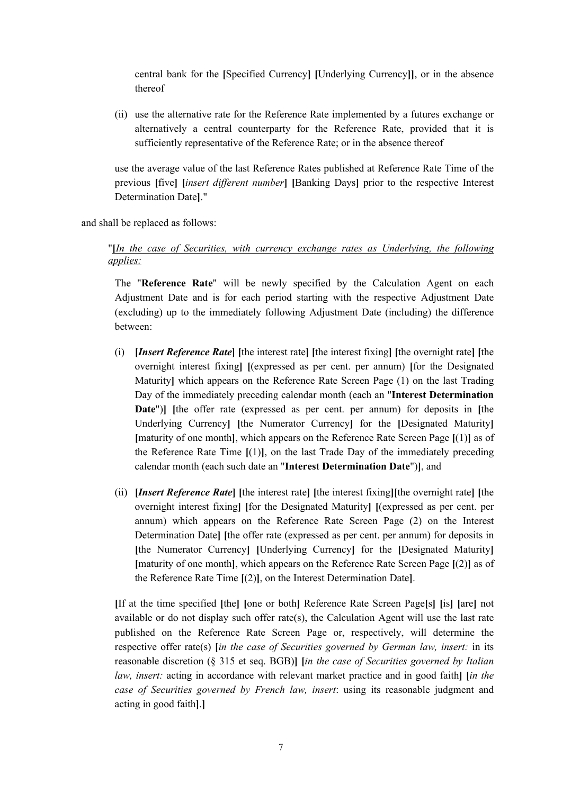central bank for the **[**Specified Currency**] [**Underlying Currency**]]**, or in the absence thereof

(ii) use the alternative rate for the Reference Rate implemented by a futures exchange or alternatively a central counterparty for the Reference Rate, provided that it is sufficiently representative of the Reference Rate; or in the absence thereof

use the average value of the last Reference Rates published at Reference Rate Time of the previous **[**five**] [***insert different number***] [**Banking Days**]** prior to the respective Interest Determination Date**]**."

and shall be replaced as follows:

#### "**[***In the case of Securities, with currency exchange rates as Underlying, the following applies:*

The "**Reference Rate**" will be newly specified by the Calculation Agent on each Adjustment Date and is for each period starting with the respective Adjustment Date (excluding) up to the immediately following Adjustment Date (including) the difference between:

- (i) **[***Insert Reference Rate***] [**the interest rate**] [**the interest fixing**] [**the overnight rate**] [**the overnight interest fixing**] [**(expressed as per cent. per annum) **[**for the Designated Maturity**]** which appears on the Reference Rate Screen Page (1) on the last Trading Day of the immediately preceding calendar month (each an "**Interest Determination Date**")**] [**the offer rate (expressed as per cent. per annum) for deposits in **[**the Underlying Currency**] [**the Numerator Currency**]** for the **[**Designated Maturity**] [**maturity of one month**]**, which appears on the Reference Rate Screen Page **[**(1)**]** as of the Reference Rate Time **[**(1)**]**, on the last Trade Day of the immediately preceding calendar month (each such date an "**Interest Determination Date**")**]**, and
- (ii) **[***Insert Reference Rate***] [**the interest rate**] [**the interest fixing**][**the overnight rate**] [**the overnight interest fixing**] [**for the Designated Maturity**] [**(expressed as per cent. per annum) which appears on the Reference Rate Screen Page (2) on the Interest Determination Date**] [**the offer rate (expressed as per cent. per annum) for deposits in **[**the Numerator Currency**] [**Underlying Currency**]** for the **[**Designated Maturity**] [**maturity of one month**]**, which appears on the Reference Rate Screen Page **[**(2)**]** as of the Reference Rate Time **[**(2)**]**, on the Interest Determination Date**]**.

**[**If at the time specified **[**the**] [**one or both**]** Reference Rate Screen Page**[**s**] [**is**] [**are**]** not available or do not display such offer rate(s), the Calculation Agent will use the last rate published on the Reference Rate Screen Page or, respectively, will determine the respective offer rate(s) **[***in the case of Securities governed by German law, insert:* in its reasonable discretion (§ 315 et seq. BGB)**] [***in the case of Securities governed by Italian law, insert:* acting in accordance with relevant market practice and in good faith**] [***in the case of Securities governed by French law, insert*: using its reasonable judgment and acting in good faith**]**.**]**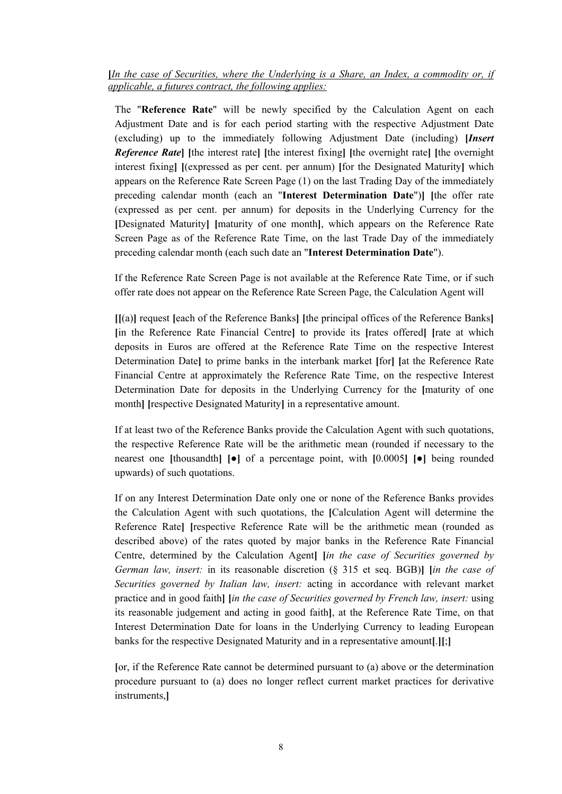**[***In the case of Securities, where the Underlying is a Share, an Index, a commodity or, if applicable, a futures contract, the following applies:*

The "**Reference Rate**" will be newly specified by the Calculation Agent on each Adjustment Date and is for each period starting with the respective Adjustment Date (excluding) up to the immediately following Adjustment Date (including) **[***Insert Reference Rate***] [**the interest rate**] [**the interest fixing**] [**the overnight rate**] [**the overnight interest fixing**] [**(expressed as per cent. per annum) **[**for the Designated Maturity**]** which appears on the Reference Rate Screen Page (1) on the last Trading Day of the immediately preceding calendar month (each an "**Interest Determination Date**")**] [**the offer rate (expressed as per cent. per annum) for deposits in the Underlying Currency for the **[**Designated Maturity**] [**maturity of one month**]**, which appears on the Reference Rate Screen Page as of the Reference Rate Time, on the last Trade Day of the immediately preceding calendar month (each such date an "**Interest Determination Date**").

If the Reference Rate Screen Page is not available at the Reference Rate Time, or if such offer rate does not appear on the Reference Rate Screen Page, the Calculation Agent will

**[[**(a)**]** request **[**each of the Reference Banks**] [**the principal offices of the Reference Banks**] [**in the Reference Rate Financial Centre**]** to provide its **[**rates offered**] [**rate at which deposits in Euros are offered at the Reference Rate Time on the respective Interest Determination Date**]** to prime banks in the interbank market **[**for**] [**at the Reference Rate Financial Centre at approximately the Reference Rate Time, on the respective Interest Determination Date for deposits in the Underlying Currency for the **[**maturity of one month**] [**respective Designated Maturity**]** in a representative amount.

If at least two of the Reference Banks provide the Calculation Agent with such quotations, the respective Reference Rate will be the arithmetic mean (rounded if necessary to the nearest one **[**thousandth**] [**●**]** of a percentage point, with **[**0.0005**] [**●**]** being rounded upwards) of such quotations.

If on any Interest Determination Date only one or none of the Reference Banks provides the Calculation Agent with such quotations, the **[**Calculation Agent will determine the Reference Rate**] [**respective Reference Rate will be the arithmetic mean (rounded as described above) of the rates quoted by major banks in the Reference Rate Financial Centre, determined by the Calculation Agent**] [***in the case of Securities governed by German law, insert:* in its reasonable discretion (§ 315 et seq. BGB)**] [***in the case of Securities governed by Italian law, insert:* acting in accordance with relevant market practice and in good faith**] [***in the case of Securities governed by French law, insert:* using its reasonable judgement and acting in good faith**]**, at the Reference Rate Time, on that Interest Determination Date for loans in the Underlying Currency to leading European banks for the respective Designated Maturity and in a representative amount**[**.**][**;**]**

**[**or, if the Reference Rate cannot be determined pursuant to (a) above or the determination procedure pursuant to (a) does no longer reflect current market practices for derivative instruments,**]**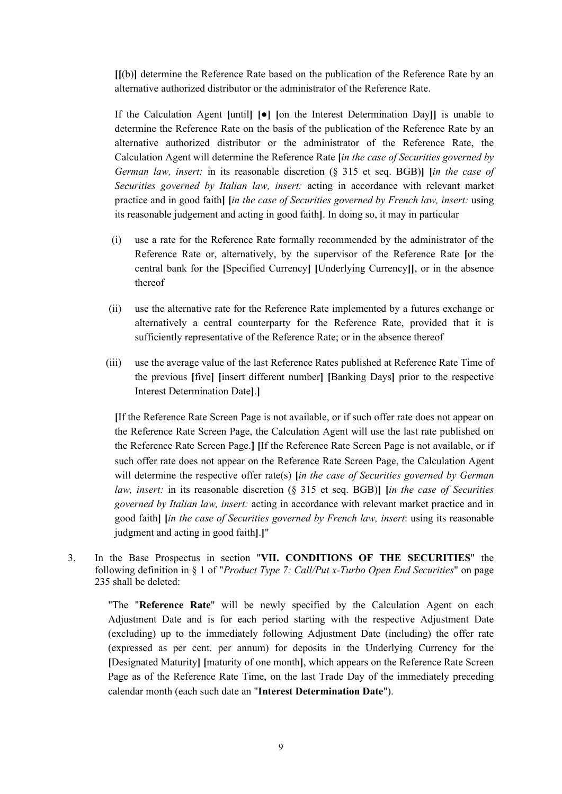**[[**(b)**]** determine the Reference Rate based on the publication of the Reference Rate by an alternative authorized distributor or the administrator of the Reference Rate.

If the Calculation Agent **[**until**] [**●**] [**on the Interest Determination Day**]]** is unable to determine the Reference Rate on the basis of the publication of the Reference Rate by an alternative authorized distributor or the administrator of the Reference Rate, the Calculation Agent will determine the Reference Rate **[***in the case of Securities governed by German law, insert:* in its reasonable discretion (§ 315 et seq. BGB)**] [***in the case of Securities governed by Italian law, insert:* acting in accordance with relevant market practice and in good faith**] [***in the case of Securities governed by French law, insert:* using its reasonable judgement and acting in good faith**]**. In doing so, it may in particular

- (i) use a rate for the Reference Rate formally recommended by the administrator of the Reference Rate or, alternatively, by the supervisor of the Reference Rate **[**or the central bank for the **[**Specified Currency**] [**Underlying Currency**]]**, or in the absence thereof
- (ii) use the alternative rate for the Reference Rate implemented by a futures exchange or alternatively a central counterparty for the Reference Rate, provided that it is sufficiently representative of the Reference Rate; or in the absence thereof
- (iii) use the average value of the last Reference Rates published at Reference Rate Time of the previous **[**five**] [**insert different number**] [**Banking Days**]** prior to the respective Interest Determination Date**]**.**]**

**[**If the Reference Rate Screen Page is not available, or if such offer rate does not appear on the Reference Rate Screen Page, the Calculation Agent will use the last rate published on the Reference Rate Screen Page.**] [**If the Reference Rate Screen Page is not available, or if such offer rate does not appear on the Reference Rate Screen Page, the Calculation Agent will determine the respective offer rate(s) **[***in the case of Securities governed by German law, insert:* in its reasonable discretion (§ 315 et seq. BGB)**] [***in the case of Securities governed by Italian law, insert:* acting in accordance with relevant market practice and in good faith**] [***in the case of Securities governed by French law, insert*: using its reasonable judgment and acting in good faith**]**.**]**"

3. In the Base Prospectus in section "**VII. CONDITIONS OF THE SECURITIES**" the following definition in § 1 of "*Product Type 7: Call/Put x-Turbo Open End Securities*" on page 235 shall be deleted:

"The "**Reference Rate**" will be newly specified by the Calculation Agent on each Adjustment Date and is for each period starting with the respective Adjustment Date (excluding) up to the immediately following Adjustment Date (including) the offer rate (expressed as per cent. per annum) for deposits in the Underlying Currency for the **[**Designated Maturity**] [**maturity of one month**]**, which appears on the Reference Rate Screen Page as of the Reference Rate Time, on the last Trade Day of the immediately preceding calendar month (each such date an "**Interest Determination Date**").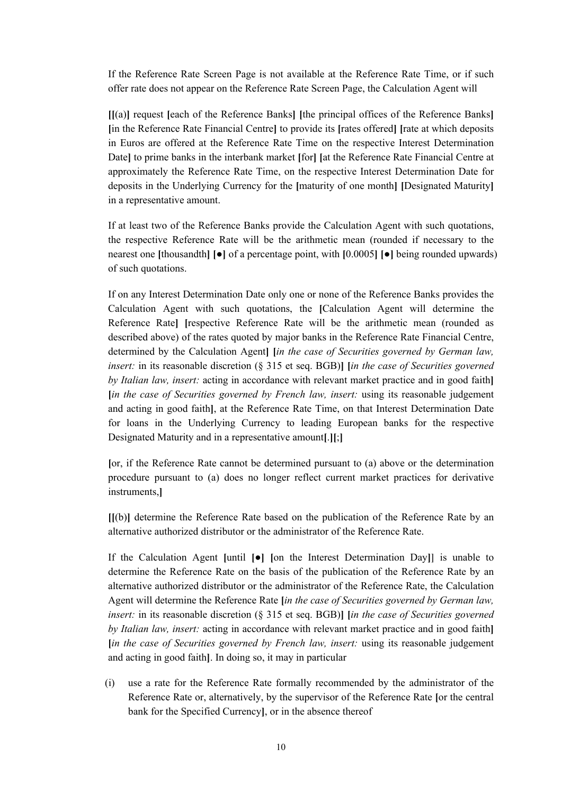If the Reference Rate Screen Page is not available at the Reference Rate Time, or if such offer rate does not appear on the Reference Rate Screen Page, the Calculation Agent will

**[[**(a)**]** request **[**each of the Reference Banks**] [**the principal offices of the Reference Banks**] [**in the Reference Rate Financial Centre**]** to provide its **[**rates offered**] [**rate at which deposits in Euros are offered at the Reference Rate Time on the respective Interest Determination Date**]** to prime banks in the interbank market **[**for**] [**at the Reference Rate Financial Centre at approximately the Reference Rate Time, on the respective Interest Determination Date for deposits in the Underlying Currency for the **[**maturity of one month**] [**Designated Maturity**]** in a representative amount.

If at least two of the Reference Banks provide the Calculation Agent with such quotations, the respective Reference Rate will be the arithmetic mean (rounded if necessary to the nearest one **[**thousandth**] [**●**]** of a percentage point, with **[**0.0005**] [**●**]** being rounded upwards) of such quotations.

If on any Interest Determination Date only one or none of the Reference Banks provides the Calculation Agent with such quotations, the **[**Calculation Agent will determine the Reference Rate**] [**respective Reference Rate will be the arithmetic mean (rounded as described above) of the rates quoted by major banks in the Reference Rate Financial Centre, determined by the Calculation Agent**] [***in the case of Securities governed by German law, insert:* in its reasonable discretion (§ 315 et seq. BGB)**] [***in the case of Securities governed by Italian law, insert:* acting in accordance with relevant market practice and in good faith**] [***in the case of Securities governed by French law, insert:* using its reasonable judgement and acting in good faith**]**, at the Reference Rate Time, on that Interest Determination Date for loans in the Underlying Currency to leading European banks for the respective Designated Maturity and in a representative amount**[**.**][**;**]**

**[**or, if the Reference Rate cannot be determined pursuant to (a) above or the determination procedure pursuant to (a) does no longer reflect current market practices for derivative instruments,**]**

**[[**(b)**]** determine the Reference Rate based on the publication of the Reference Rate by an alternative authorized distributor or the administrator of the Reference Rate.

If the Calculation Agent **[**until **[**●**] [**on the Interest Determination Day**]]** is unable to determine the Reference Rate on the basis of the publication of the Reference Rate by an alternative authorized distributor or the administrator of the Reference Rate, the Calculation Agent will determine the Reference Rate **[***in the case of Securities governed by German law, insert:* in its reasonable discretion (§ 315 et seq. BGB)**] [***in the case of Securities governed by Italian law, insert:* acting in accordance with relevant market practice and in good faith**] [***in the case of Securities governed by French law, insert:* using its reasonable judgement and acting in good faith**]**. In doing so, it may in particular

(i) use a rate for the Reference Rate formally recommended by the administrator of the Reference Rate or, alternatively, by the supervisor of the Reference Rate **[**or the central bank for the Specified Currency**]**, or in the absence thereof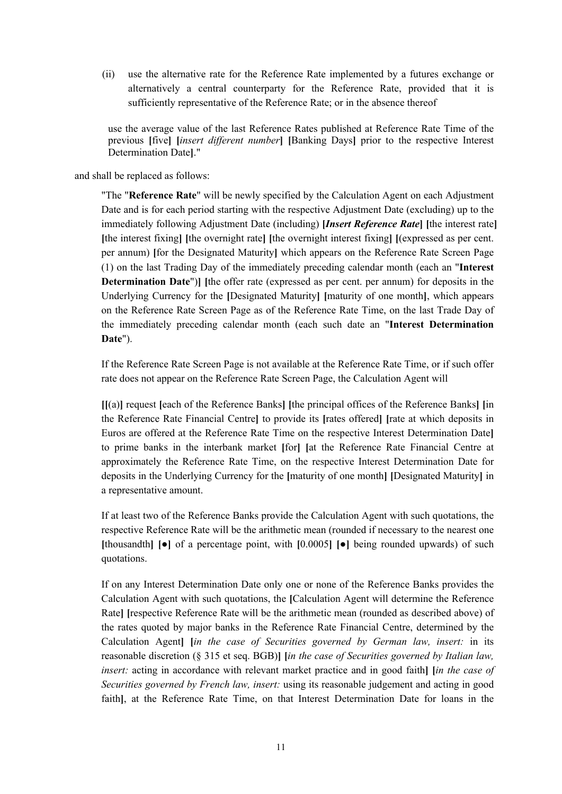(ii) use the alternative rate for the Reference Rate implemented by a futures exchange or alternatively a central counterparty for the Reference Rate, provided that it is sufficiently representative of the Reference Rate; or in the absence thereof

use the average value of the last Reference Rates published at Reference Rate Time of the previous **[**five**] [***insert different number***] [**Banking Days**]** prior to the respective Interest Determination Date**]**."

### and shall be replaced as follows:

"The "**Reference Rate**" will be newly specified by the Calculation Agent on each Adjustment Date and is for each period starting with the respective Adjustment Date (excluding) up to the immediately following Adjustment Date (including) **[***Insert Reference Rate***] [**the interest rate**] [**the interest fixing**] [**the overnight rate**] [**the overnight interest fixing**] [**(expressed as per cent. per annum) **[**for the Designated Maturity**]** which appears on the Reference Rate Screen Page (1) on the last Trading Day of the immediately preceding calendar month (each an "**Interest Determination Date**")**] [**the offer rate (expressed as per cent. per annum) for deposits in the Underlying Currency for the **[**Designated Maturity**] [**maturity of one month**]**, which appears on the Reference Rate Screen Page as of the Reference Rate Time, on the last Trade Day of the immediately preceding calendar month (each such date an "**Interest Determination Date**").

If the Reference Rate Screen Page is not available at the Reference Rate Time, or if such offer rate does not appear on the Reference Rate Screen Page, the Calculation Agent will

**[[**(a)**]** request **[**each of the Reference Banks**] [**the principal offices of the Reference Banks**] [**in the Reference Rate Financial Centre**]** to provide its **[**rates offered**] [**rate at which deposits in Euros are offered at the Reference Rate Time on the respective Interest Determination Date**]** to prime banks in the interbank market **[**for**] [**at the Reference Rate Financial Centre at approximately the Reference Rate Time, on the respective Interest Determination Date for deposits in the Underlying Currency for the **[**maturity of one month**] [**Designated Maturity**]** in a representative amount.

If at least two of the Reference Banks provide the Calculation Agent with such quotations, the respective Reference Rate will be the arithmetic mean (rounded if necessary to the nearest one **[**thousandth**] [**●**]** of a percentage point, with **[**0.0005**] [**●**]** being rounded upwards) of such quotations.

If on any Interest Determination Date only one or none of the Reference Banks provides the Calculation Agent with such quotations, the **[**Calculation Agent will determine the Reference Rate**] [**respective Reference Rate will be the arithmetic mean (rounded as described above) of the rates quoted by major banks in the Reference Rate Financial Centre, determined by the Calculation Agent**] [***in the case of Securities governed by German law, insert:* in its reasonable discretion (§ 315 et seq. BGB)**] [***in the case of Securities governed by Italian law, insert:* acting in accordance with relevant market practice and in good faith**] [***in the case of Securities governed by French law, insert:* using its reasonable judgement and acting in good faith**]**, at the Reference Rate Time, on that Interest Determination Date for loans in the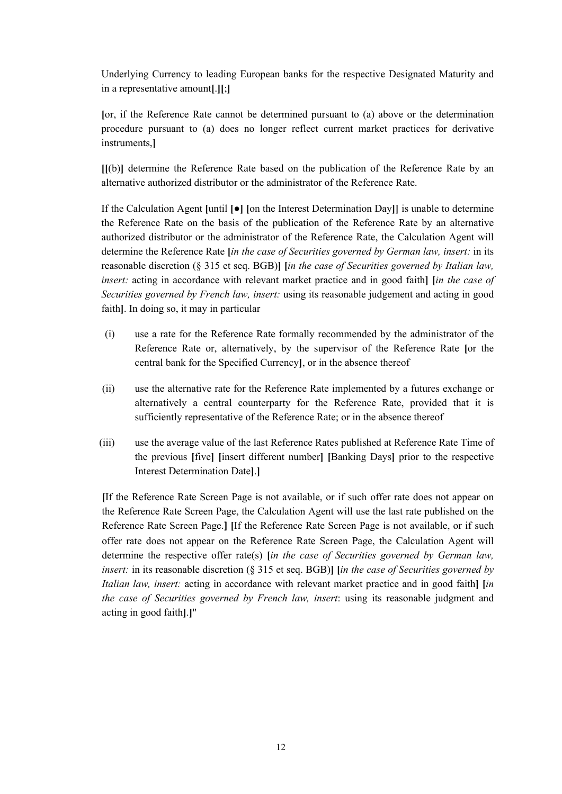Underlying Currency to leading European banks for the respective Designated Maturity and in a representative amount**[**.**][**;**]**

**[**or, if the Reference Rate cannot be determined pursuant to (a) above or the determination procedure pursuant to (a) does no longer reflect current market practices for derivative instruments,**]**

**[[**(b)**]** determine the Reference Rate based on the publication of the Reference Rate by an alternative authorized distributor or the administrator of the Reference Rate.

If the Calculation Agent **[**until **[**●**] [**on the Interest Determination Day**]]** is unable to determine the Reference Rate on the basis of the publication of the Reference Rate by an alternative authorized distributor or the administrator of the Reference Rate, the Calculation Agent will determine the Reference Rate **[***in the case of Securities governed by German law, insert:* in its reasonable discretion (§ 315 et seq. BGB)**] [***in the case of Securities governed by Italian law, insert:* acting in accordance with relevant market practice and in good faith**] [***in the case of Securities governed by French law, insert:* using its reasonable judgement and acting in good faith**]**. In doing so, it may in particular

- (i) use a rate for the Reference Rate formally recommended by the administrator of the Reference Rate or, alternatively, by the supervisor of the Reference Rate **[**or the central bank for the Specified Currency**]**, or in the absence thereof
- (ii) use the alternative rate for the Reference Rate implemented by a futures exchange or alternatively a central counterparty for the Reference Rate, provided that it is sufficiently representative of the Reference Rate; or in the absence thereof
- (iii) use the average value of the last Reference Rates published at Reference Rate Time of the previous **[**five**] [**insert different number**] [**Banking Days**]** prior to the respective Interest Determination Date**]**.**]**

**[**If the Reference Rate Screen Page is not available, or if such offer rate does not appear on the Reference Rate Screen Page, the Calculation Agent will use the last rate published on the Reference Rate Screen Page.**] [**If the Reference Rate Screen Page is not available, or if such offer rate does not appear on the Reference Rate Screen Page, the Calculation Agent will determine the respective offer rate(s) **[***in the case of Securities governed by German law, insert:* in its reasonable discretion (§ 315 et seq. BGB)**] [***in the case of Securities governed by Italian law, insert:* acting in accordance with relevant market practice and in good faith**] [***in the case of Securities governed by French law, insert*: using its reasonable judgment and acting in good faith**]**.**]**"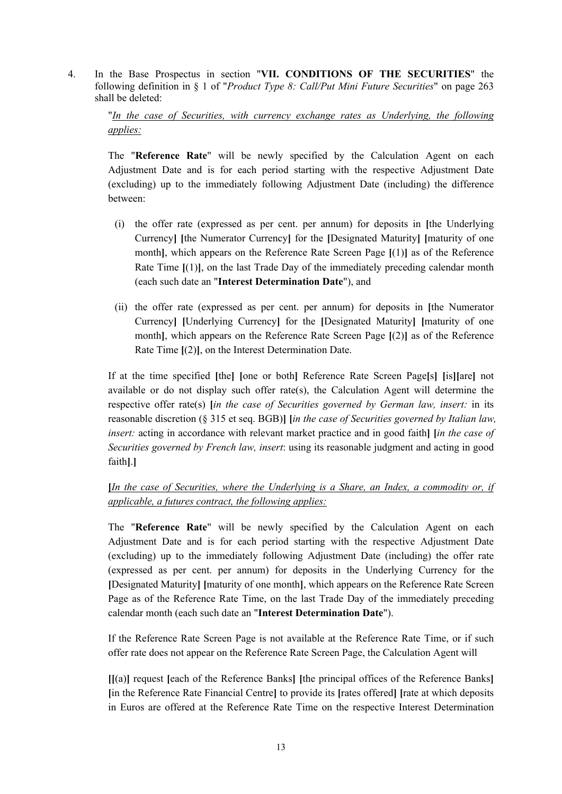4. In the Base Prospectus in section "**VII. CONDITIONS OF THE SECURITIES**" the following definition in § 1 of "*Product Type 8: Call/Put Mini Future Securities*" on page 263 shall be deleted:

## "*In the case of Securities, with currency exchange rates as Underlying, the following applies:*

The "**Reference Rate**" will be newly specified by the Calculation Agent on each Adjustment Date and is for each period starting with the respective Adjustment Date (excluding) up to the immediately following Adjustment Date (including) the difference between:

- (i) the offer rate (expressed as per cent. per annum) for deposits in **[**the Underlying Currency**] [**the Numerator Currency**]** for the **[**Designated Maturity**] [**maturity of one month**]**, which appears on the Reference Rate Screen Page **[**(1)**]** as of the Reference Rate Time **[**(1)**]**, on the last Trade Day of the immediately preceding calendar month (each such date an "**Interest Determination Date**"), and
- (ii) the offer rate (expressed as per cent. per annum) for deposits in **[**the Numerator Currency**] [**Underlying Currency**]** for the **[**Designated Maturity**] [**maturity of one month**]**, which appears on the Reference Rate Screen Page **[**(2)**]** as of the Reference Rate Time **[**(2)**]**, on the Interest Determination Date.

If at the time specified **[**the**] [**one or both**]** Reference Rate Screen Page**[**s**] [**is**][**are**]** not available or do not display such offer rate(s), the Calculation Agent will determine the respective offer rate(s) **[***in the case of Securities governed by German law, insert:* in its reasonable discretion (§ 315 et seq. BGB)**] [***in the case of Securities governed by Italian law, insert:* acting in accordance with relevant market practice and in good faith**] [***in the case of Securities governed by French law, insert*: using its reasonable judgment and acting in good faith**]**.**]**

## **[***In the case of Securities, where the Underlying is a Share, an Index, a commodity or, if applicable, a futures contract, the following applies:*

The "**Reference Rate**" will be newly specified by the Calculation Agent on each Adjustment Date and is for each period starting with the respective Adjustment Date (excluding) up to the immediately following Adjustment Date (including) the offer rate (expressed as per cent. per annum) for deposits in the Underlying Currency for the **[**Designated Maturity**] [**maturity of one month**]**, which appears on the Reference Rate Screen Page as of the Reference Rate Time, on the last Trade Day of the immediately preceding calendar month (each such date an "**Interest Determination Date**").

If the Reference Rate Screen Page is not available at the Reference Rate Time, or if such offer rate does not appear on the Reference Rate Screen Page, the Calculation Agent will

**[[**(a)**]** request **[**each of the Reference Banks**] [**the principal offices of the Reference Banks**] [**in the Reference Rate Financial Centre**]** to provide its **[**rates offered**] [**rate at which deposits in Euros are offered at the Reference Rate Time on the respective Interest Determination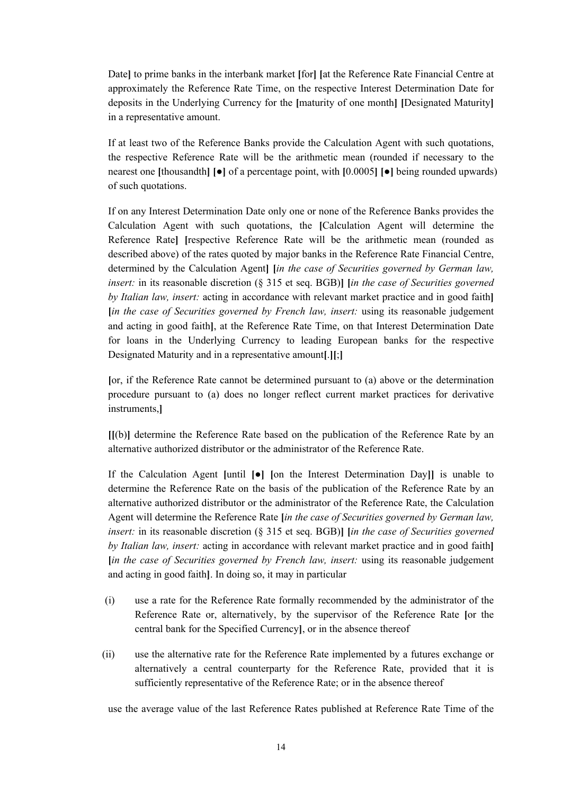Date**]** to prime banks in the interbank market **[**for**] [**at the Reference Rate Financial Centre at approximately the Reference Rate Time, on the respective Interest Determination Date for deposits in the Underlying Currency for the **[**maturity of one month**] [**Designated Maturity**]** in a representative amount.

If at least two of the Reference Banks provide the Calculation Agent with such quotations, the respective Reference Rate will be the arithmetic mean (rounded if necessary to the nearest one **[**thousandth**] [**●**]** of a percentage point, with **[**0.0005**] [**●**]** being rounded upwards) of such quotations.

If on any Interest Determination Date only one or none of the Reference Banks provides the Calculation Agent with such quotations, the **[**Calculation Agent will determine the Reference Rate**] [**respective Reference Rate will be the arithmetic mean (rounded as described above) of the rates quoted by major banks in the Reference Rate Financial Centre, determined by the Calculation Agent**] [***in the case of Securities governed by German law, insert:* in its reasonable discretion (§ 315 et seq. BGB)**] [***in the case of Securities governed by Italian law, insert:* acting in accordance with relevant market practice and in good faith**] [***in the case of Securities governed by French law, insert:* using its reasonable judgement and acting in good faith**]**, at the Reference Rate Time, on that Interest Determination Date for loans in the Underlying Currency to leading European banks for the respective Designated Maturity and in a representative amount**[**.**][**;**]**

**[**or, if the Reference Rate cannot be determined pursuant to (a) above or the determination procedure pursuant to (a) does no longer reflect current market practices for derivative instruments,**]**

**[[**(b)**]** determine the Reference Rate based on the publication of the Reference Rate by an alternative authorized distributor or the administrator of the Reference Rate.

If the Calculation Agent **[**until **[**●**] [**on the Interest Determination Day**]]** is unable to determine the Reference Rate on the basis of the publication of the Reference Rate by an alternative authorized distributor or the administrator of the Reference Rate, the Calculation Agent will determine the Reference Rate **[***in the case of Securities governed by German law, insert:* in its reasonable discretion (§ 315 et seq. BGB)**] [***in the case of Securities governed by Italian law, insert:* acting in accordance with relevant market practice and in good faith**] [***in the case of Securities governed by French law, insert:* using its reasonable judgement and acting in good faith**]**. In doing so, it may in particular

- (i) use a rate for the Reference Rate formally recommended by the administrator of the Reference Rate or, alternatively, by the supervisor of the Reference Rate **[**or the central bank for the Specified Currency**]**, or in the absence thereof
- (ii) use the alternative rate for the Reference Rate implemented by a futures exchange or alternatively a central counterparty for the Reference Rate, provided that it is sufficiently representative of the Reference Rate; or in the absence thereof

use the average value of the last Reference Rates published at Reference Rate Time of the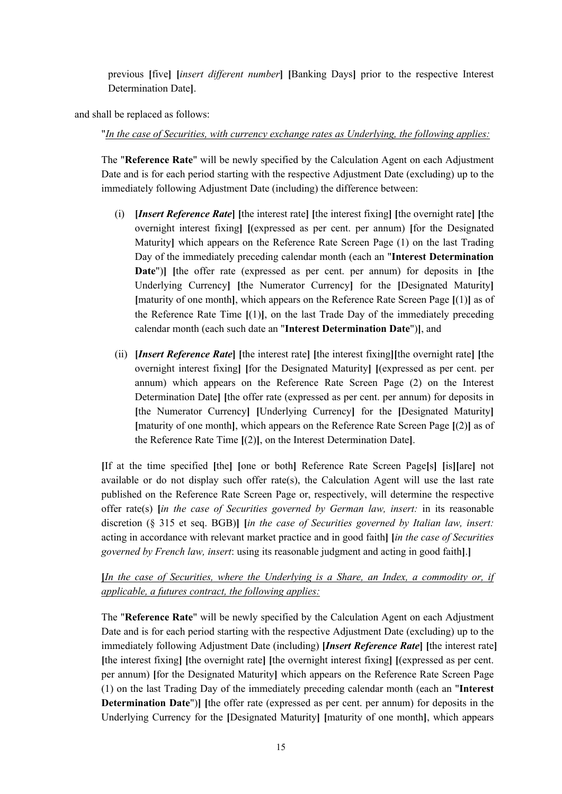previous **[**five**] [***insert different number***] [**Banking Days**]** prior to the respective Interest Determination Date**]**.

and shall be replaced as follows:

"*In the case of Securities, with currency exchange rates as Underlying, the following applies:*

The "**Reference Rate**" will be newly specified by the Calculation Agent on each Adjustment Date and is for each period starting with the respective Adjustment Date (excluding) up to the immediately following Adjustment Date (including) the difference between:

- (i) **[***Insert Reference Rate***] [**the interest rate**] [**the interest fixing**] [**the overnight rate**] [**the overnight interest fixing**] [**(expressed as per cent. per annum) **[**for the Designated Maturity**]** which appears on the Reference Rate Screen Page (1) on the last Trading Day of the immediately preceding calendar month (each an "**Interest Determination Date**")**] [**the offer rate (expressed as per cent. per annum) for deposits in **[**the Underlying Currency**] [**the Numerator Currency**]** for the **[**Designated Maturity**] [**maturity of one month**]**, which appears on the Reference Rate Screen Page **[**(1)**]** as of the Reference Rate Time **[**(1)**]**, on the last Trade Day of the immediately preceding calendar month (each such date an "**Interest Determination Date**")**]**, and
- (ii) **[***Insert Reference Rate***] [**the interest rate**] [**the interest fixing**][**the overnight rate**] [**the overnight interest fixing**] [**for the Designated Maturity**] [**(expressed as per cent. per annum) which appears on the Reference Rate Screen Page (2) on the Interest Determination Date**] [**the offer rate (expressed as per cent. per annum) for deposits in **[**the Numerator Currency**] [**Underlying Currency**]** for the **[**Designated Maturity**] [**maturity of one month**]**, which appears on the Reference Rate Screen Page **[**(2)**]** as of the Reference Rate Time **[**(2)**]**, on the Interest Determination Date**]**.

**[**If at the time specified **[**the**] [**one or both**]** Reference Rate Screen Page**[**s**] [**is**][**are**]** not available or do not display such offer rate(s), the Calculation Agent will use the last rate published on the Reference Rate Screen Page or, respectively, will determine the respective offer rate(s) **[***in the case of Securities governed by German law, insert:* in its reasonable discretion (§ 315 et seq. BGB)**] [***in the case of Securities governed by Italian law, insert:* acting in accordance with relevant market practice and in good faith**] [***in the case of Securities governed by French law, insert*: using its reasonable judgment and acting in good faith**]**.**]**

# **[***In the case of Securities, where the Underlying is a Share, an Index, a commodity or, if applicable, a futures contract, the following applies:*

The "**Reference Rate**" will be newly specified by the Calculation Agent on each Adjustment Date and is for each period starting with the respective Adjustment Date (excluding) up to the immediately following Adjustment Date (including) **[***Insert Reference Rate***] [**the interest rate**] [**the interest fixing**] [**the overnight rate**] [**the overnight interest fixing**] [**(expressed as per cent. per annum) **[**for the Designated Maturity**]** which appears on the Reference Rate Screen Page (1) on the last Trading Day of the immediately preceding calendar month (each an "**Interest Determination Date**")**] [**the offer rate (expressed as per cent. per annum) for deposits in the Underlying Currency for the **[**Designated Maturity**] [**maturity of one month**]**, which appears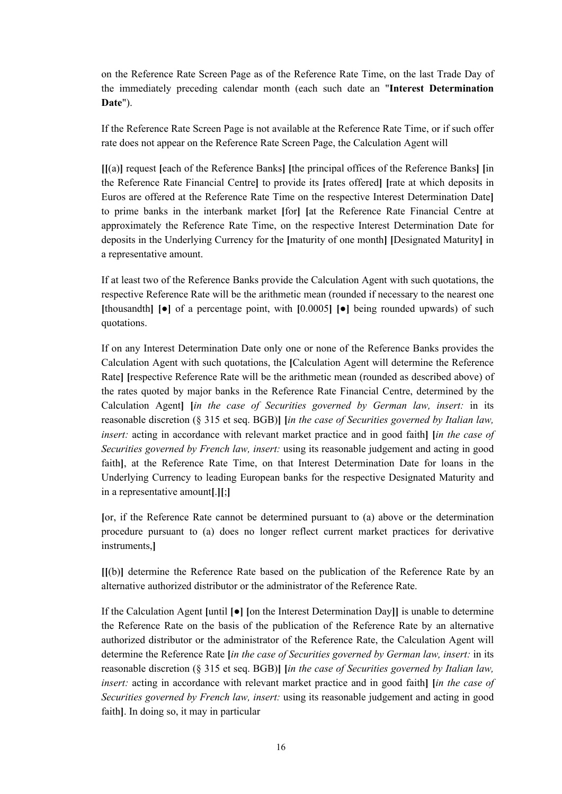on the Reference Rate Screen Page as of the Reference Rate Time, on the last Trade Day of the immediately preceding calendar month (each such date an "**Interest Determination Date**").

If the Reference Rate Screen Page is not available at the Reference Rate Time, or if such offer rate does not appear on the Reference Rate Screen Page, the Calculation Agent will

**[[**(a)**]** request **[**each of the Reference Banks**] [**the principal offices of the Reference Banks**] [**in the Reference Rate Financial Centre**]** to provide its **[**rates offered**] [**rate at which deposits in Euros are offered at the Reference Rate Time on the respective Interest Determination Date**]** to prime banks in the interbank market **[**for**] [**at the Reference Rate Financial Centre at approximately the Reference Rate Time, on the respective Interest Determination Date for deposits in the Underlying Currency for the **[**maturity of one month**] [**Designated Maturity**]** in a representative amount.

If at least two of the Reference Banks provide the Calculation Agent with such quotations, the respective Reference Rate will be the arithmetic mean (rounded if necessary to the nearest one **[**thousandth**] [**●**]** of a percentage point, with **[**0.0005**] [**●**]** being rounded upwards) of such quotations.

If on any Interest Determination Date only one or none of the Reference Banks provides the Calculation Agent with such quotations, the **[**Calculation Agent will determine the Reference Rate**] [**respective Reference Rate will be the arithmetic mean (rounded as described above) of the rates quoted by major banks in the Reference Rate Financial Centre, determined by the Calculation Agent**] [***in the case of Securities governed by German law, insert:* in its reasonable discretion (§ 315 et seq. BGB)**] [***in the case of Securities governed by Italian law, insert:* acting in accordance with relevant market practice and in good faith**] [***in the case of Securities governed by French law, insert:* using its reasonable judgement and acting in good faith**]**, at the Reference Rate Time, on that Interest Determination Date for loans in the Underlying Currency to leading European banks for the respective Designated Maturity and in a representative amount**[**.**][**;**]**

**[**or, if the Reference Rate cannot be determined pursuant to (a) above or the determination procedure pursuant to (a) does no longer reflect current market practices for derivative instruments,**]**

**[[**(b)**]** determine the Reference Rate based on the publication of the Reference Rate by an alternative authorized distributor or the administrator of the Reference Rate.

If the Calculation Agent **[**until **[**●**] [**on the Interest Determination Day**]]** is unable to determine the Reference Rate on the basis of the publication of the Reference Rate by an alternative authorized distributor or the administrator of the Reference Rate, the Calculation Agent will determine the Reference Rate **[***in the case of Securities governed by German law, insert:* in its reasonable discretion (§ 315 et seq. BGB)**] [***in the case of Securities governed by Italian law, insert:* acting in accordance with relevant market practice and in good faith**] [***in the case of Securities governed by French law, insert:* using its reasonable judgement and acting in good faith**]**. In doing so, it may in particular